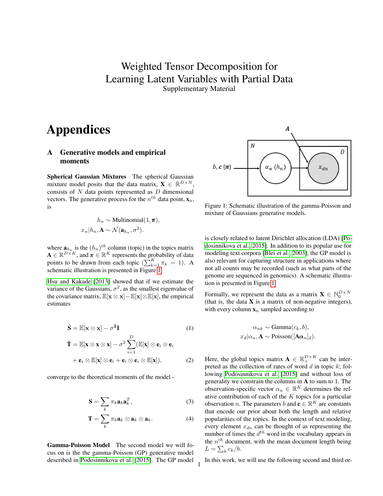# <span id="page-0-1"></span>Weighted Tensor Decomposition for Learning Latent Variables with Partial Data Supplementary Material

# Appendices

### A Generative models and empirical moments

Spherical Gaussian Mixtures The spherical Gaussian mixture model posits that the data matrix,  $\mathbf{X} \in \mathbb{R}^{D \times N}$ , consists of  $N$  data points represented as  $D$  dimensional vectors. The generative process for the  $n^{th}$  data point,  $\mathbf{x}_n$ , is

$$
h_n \sim \text{Multinomial}(1, \pi),
$$

$$
x_n | h_n, \mathbf{A} \sim \mathcal{N}(\mathbf{a}_{h_n}, \sigma^2).
$$

where  $\mathbf{a}_{h_n}$  is the  $(h_n)^{th}$  column (topic) in the topics matrix  $\mathbf{A} \in \mathbb{R}^{D \times K}$ , and  $\boldsymbol{\pi} \in \mathbb{R}^{K}$  represents the probability of data points to be drawn from each topic  $(\sum_{k=1}^{K} \pi_k = 1)$ . A schematic illustration is presented in Figure [1.](#page-0-0)

[Hsu and Kakade](#page-3-0) [\[2013\]](#page-3-0) showed that if we estimate the variance of the Gaussians,  $\sigma^2$ , as the smallest eigenvalue of the covariance matrix,  $\mathbb{E}[\mathbf{x} \otimes \mathbf{x}] - \mathbb{E}[\mathbf{x}] \otimes \mathbb{E}[\mathbf{x}]$ , the empirical estimates

$$
\hat{\mathbf{S}} = \mathbb{E}[\mathbf{x} \otimes \mathbf{x}] - \sigma^2 \mathbf{I}
$$
 (1)

$$
\hat{\mathbf{T}} = \mathbb{E}[\mathbf{x} \otimes \mathbf{x} \otimes \mathbf{x}] - \sigma^2 \sum_{i=1}^{D} (\mathbb{E}[\mathbf{x}] \otimes \mathbf{e}_i \otimes \mathbf{e}_i + \mathbf{e}_i \otimes \mathbb{E}[\mathbf{x}] \otimes \mathbf{e}_i + \mathbf{e}_i \otimes \mathbf{e}_i \otimes \mathbb{E}[\mathbf{x}]),
$$
\n(2)

converge to the theoretical moments of the model -

$$
\mathbf{S} = \sum_{k} \pi_{k} \mathbf{a}_{k} \mathbf{a}_{k}^{T}, \tag{3}
$$

$$
\mathbf{T} = \sum_{k} \pi_{k} \mathbf{a}_{k} \otimes \mathbf{a}_{k} \otimes \mathbf{a}_{k}.
$$
 (4)

1

Gamma-Poisson Model The second model we will focus on is the the gamma-Poisson (GP) generative model described in [Podosinnikova et al.](#page-3-1) [\[2015\]](#page-3-1). The GP model

<span id="page-0-0"></span>

Figure 1: Schematic illustration of the gamma-Poisson and mixture of Gaussians generative models.

is closely related to latent Dirichlet allocation (LDA) [\[Po](#page-3-1)[dosinnikova et al., 2015\]](#page-3-1). In addition to its popular use for modeling text corpora [\[Blei et al., 2003\]](#page-3-2), the GP model is also relevant for capturing structure in applications where not all counts may be recorded (such as what parts of the genome are sequenced in genomics). A schematic illustration is presented in Figure [1.](#page-0-0)

Formally, we represent the data as a matrix  $\mathbf{X} \in \mathbb{N}_0^{D \times N}$ (that is, the data  $X$  is a matrix of non-negative integers), with every column  $x_n$  sampled according to

$$
\alpha_{nk} \sim \text{Gamma}(c_k, b),
$$
  

$$
x_d | \alpha_n, \mathbf{A} \sim \text{Poisson}([\mathbf{A}\alpha_n]_d).
$$

Here, the global topics matrix  $\mathbf{A} \in \mathbb{R}_+^{D \times K}$  can be interpreted as the collection of rates of word  $d$  in topic  $k$ ; following [Podosinnikova et al.](#page-3-1) [\[2015\]](#page-3-1) and without loss of generality we constrain the columns in A to sum to 1. The observation-specific vector  $\alpha_n \in \mathbb{R}^K$  determines the relative contribution of each of the  $K$  topics for a particular observation *n*. The parameters b and  $\mathbf{c} \in \mathbb{R}^K$  are constants that encode our prior about both the length and relative popularities of the topics. In the context of text modeling, every element  $x_{dn}$  can be thought of as representing the number of times the  $d^{th}$  word in the vocabulary appears in the  $n^{th}$  document, with the mean document length being  $L = \sum_k c_k/b.$ 

In this work, we will use the following second and third or-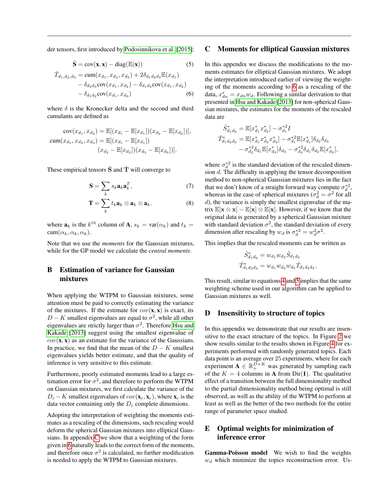der tensors, first introduced by [Podosinnikova et al.](#page-3-1) [\[2015\]](#page-3-1):

$$
\hat{\mathbf{S}} = \text{cov}(\mathbf{x}, \mathbf{x}) - \text{diag}(\mathbb{E}(\mathbf{x})) \tag{5}
$$

$$
\hat{T}_{d_1, d_2, d_3} = \text{cum}(x_{d_1}, x_{d_2}, x_{d_3}) + 2\delta_{d_1d_2d_3} \mathbb{E}(x_{d_1}) \n- \delta_{d_2d_3} \text{cov}(x_{d_1}, x_{d_2}) - \delta_{d_1d_3} \text{cov}(x_{d_1}, x_{d_2}) \n- \delta_{d_1d_2} \text{cov}(x_{d_1}, x_{d_3})
$$
\n(6)

where  $\delta$  is the Kronecker delta and the second and third cumulants are defined as

$$
cov(x_{d_1}, x_{d_2}) = \mathbb{E}[(x_{d_1} - \mathbb{E}[x_{d_1}])(x_{d_2} - \mathbb{E}[x_{d_2}])],
$$
  
\n
$$
cum(x_{d_1}, x_{d_2}, x_{d_3}) = \mathbb{E}[(x_{d_1} - \mathbb{E}[x_{d_1}])
$$
  
\n
$$
(x_{d_2} - \mathbb{E}[x_{d_2}])(x_{d_3} - \mathbb{E}[x_{d_3}])].
$$

These empirical tensors  $\hat{S}$  and  $\hat{T}$  will converge to

$$
\mathbf{S} = \sum_{k} s_k \mathbf{a}_k \mathbf{a}_k^T, \tag{7}
$$

$$
\mathbf{T}=\sum_{k}t_{k}\mathbf{a}_{k}\otimes\mathbf{a}_{k}\otimes\mathbf{a}_{k}.
$$
 (8)

where  $\mathbf{a}_k$  is the  $k^{th}$  column of  $\mathbf{A}$ ,  $s_k = \text{var}(\alpha_k)$  and  $t_k =$ cum( $\alpha_k, \alpha_k, \alpha_k$ ).

Note that we use the *moments* for the Gaussian mixtures, while for the GP model we calculate the *central moments*.

# B Estimation of variance for Gaussian mixtures

When applying the WTPM to Gaussian mixtures, some attention must be paid to correctly estimating the variance of the mixtures. If the estimate for  $cov(\mathbf{x}, \mathbf{x})$  is exact, its  $D - K$  smallest eigenvalues are equal to  $\sigma^2$ , while all other eigenvalues are strictly larger than  $\sigma^2$ . Therefore [Hsu and](#page-3-0) [Kakade](#page-3-0) [\[2013\]](#page-3-0) suggest using the smallest eigenvalue of  $cov(\mathbf{x}, \mathbf{x})$  as an estimate for the variance of the Gaussians. In practice, we find that the mean of the  $D - K$  smallest eigenvalues yields better estimate, and that the quality of inference is very sensitive to this estimate.

Furthermore, poorly estimated moments lead to a large estimation error for  $\sigma^2$ , and therefore to perform the WTPM on Gaussian mixtures, we first calculate the variance of the  $D_c - K$  smallest eigenvalues of  $cov(\mathbf{x}_c, \mathbf{x}_c)$ , where  $\mathbf{x}_c$  is the data vector containing only the  $D<sub>c</sub>$  complete dimensions.

Adopting the interpretation of weighting the moments estimates as a rescaling of the dimensions, such rescaling would deform the spherical Gaussian mixtures into elliptical Gaussians. In appendix [C](#page-1-0) we show that a weighting of the form given in [6](#page-0-1) naturally leads to the correct form of the moments, and therefore once  $\sigma^2$  is calculated, no further modification is needed to apply the WTPM to Gaussian mixtures.

#### <span id="page-1-0"></span>C Moments for elliptical Gaussian mixtures

In this appendix we discuss the modifications to the moments estimates for elliptical Gaussian mixtures. We adopt the interpretation introduced earlier of viewing the weighting of the moments according to [6](#page-0-1) as a rescaling of the data,  $x_{dn}^* = x_{dn} w_d$ . Following a similar derivation to that presented in [Hsu and Kakade](#page-3-0) [\[2013\]](#page-3-0) for non-spherical Gaussian mixtures, the estimates for the moments of the rescaled data are

$$
\hat{S}_{d_1d_2}^* = \mathbb{E}[x_{d_1}^* x_{d_2}^*] - \sigma_{d_1}^{*2} I
$$
\n
$$
\hat{T}_{d_1d_2d_3}^* = \mathbb{E}[x_{d_1}^* x_{d_2}^* x_{d_3}^*] - \sigma_{d_1}^{*2} \mathbb{E}[x_{d_1}^*] \delta_{d_2} \delta_{d_3}
$$
\n
$$
- \sigma_{d_2}^{*2} \delta_{d_1} \mathbb{E}[x_{d_2}^*] \delta_{d_3} - \sigma_{d_3}^{*2} \delta_{d_1} \delta_{d_2} \mathbb{E}[x_{d_3}^*],
$$

where  $\sigma_d^*$  is the standard deviation of the rescaled dimension d. The difficulty in applying the tensor decomposition method to non-spherical Gaussian mixtures lies in the fact that we don't know of a straight forward way compute  $\sigma_d^*^2$ , whereas in the case of spherical mixtures ( $\sigma_d^2 = \sigma^2$  for all  $d$ ), the variance is simply the smallest eigenvalue of the matrix  $\mathbb{E}[\mathbf{x} \otimes \mathbf{x}] - \mathbb{E}[\mathbf{x}] \otimes \mathbb{E}[\mathbf{x}]$ . However, if we know that the original data is generated by a spherical Gaussian mixture with standard deviation  $\sigma^2$ , the standard deviation of every dimension after rescaling by  $w_d$  is  $\sigma_d^{*2} = w_d^2 \sigma^2$ .

This implies that the rescaled moments can be written as

$$
\hat{S}_{d_1d_2}^* = w_{d_1}w_{d_2}\hat{S}_{d_1d_2}
$$
  

$$
\hat{T}_{d_1d_2d_3}^* = w_{d_1}w_{d_2}w_{d_3}\hat{T}_{d_1d_2d_3}.
$$

This result, similar to equations [4](#page-0-1) and [5](#page-0-1) implies that the same weighting scheme used in our algorithm can be applied to Gaussian mixtures as well.

#### D Insensitivity to structure of topics

In this appendix we demonstrate that our results are insensitive to the exact structure of the topics. In Figure [2](#page-2-0) we show results similar to the results shown in Figure [4](#page-0-1) for experiments performed with randomly generated topics. Each data point is an average over 25 experiments, where for each experiment  $\mathbf{A} \in \mathbb{R}_+^{D \times K}$  was generated by sampling each of the  $K = 4$  columns in **A** from Dir(1). The qualitative effect of a transition between the full dimensionality method to the partial dimensionality method being optimal is still observed, as well as the ability of the WTPM to perform at least as well as the better of the two methods for the entire range of parameter space studied.

## E Optimal weights for minimization of inference error

Gamma-Poisson model We wish to find the weights  $w_d$  which minimize the topics reconstruction error. Us-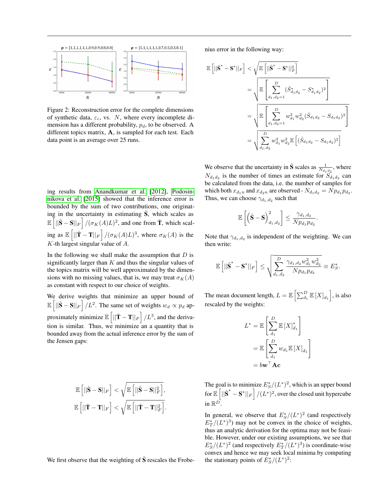<span id="page-2-0"></span>

Figure 2: Reconstruction error for the complete dimensions of synthetic data,  $\varepsilon_c$ , vs. N, where every incomplete dimension has a different probability,  $p_d$ , to be observed. A different topics matrix, A, is sampled for each test. Each data point is an average over 25 runs.

ing results from [Anandkumar et al.](#page-3-3) [\[2012\]](#page-3-3), [Podosin](#page-3-1)[nikova et al.](#page-3-1) [\[2015\]](#page-3-1) showed that the inference error is bounded by the sum of two contributions, one originating in the uncertainty in estimating  $\hat{S}$ , which scales as  $\mathbb{E}\left[||\hat{\mathbf{S}} - \mathbf{S}||_F\right]/(\sigma_K(A)L)^2$ , and one from  $\hat{\mathbf{T}}$ , which scaling as  $\mathbb{E} \left[ ||\hat{\mathbf{T}} - \mathbf{T}||_F \right] / (\sigma_K(A)L)^3$ , where  $\sigma_K(A)$  is the  $K$ -th largest singular value of  $A$ .

In the following we shall make the assumption that  $D$  is significantly larger than  $K$  and thus the singular values of the topics matrix will be well approximated by the dimensions with no missing values, that is, we may treat  $\sigma_K(A)$ as constant with respect to our choice of weights.

We derive weights that minimize an upper bound of  $\mathbb{E}\left[\left\|\hat{\mathbf{S}}-\mathbf{S}\right\|_F\right]/L^2$ . The same set of weights  $w_d \propto p_d$  approximately minimize  $\mathbb{E}\left[||\hat{\mathbf{T}} - \mathbf{T}||_F\right] / L^3$ , and the derivation is similar. Thus, we minimize an a quantity that is bounded away from the actual inference error by the sum of the Jensen gaps:

$$
\begin{aligned} &\mathbb{E}\left[||\hat{\mathbf{S}}-\mathbf{S}||_F\right] < \sqrt{\mathbb{E}\left[||\hat{\mathbf{S}}-\mathbf{S}||_F^2\right]},\\ &\mathbb{E}\left[||\hat{\mathbf{T}}-\mathbf{T}||_F\right] < \sqrt{\mathbb{E}\left[||\hat{\mathbf{T}}-\mathbf{T}||_F^2\right]}. \end{aligned}
$$

We first observe that the weighting of  $\tilde{S}$  rescales the Frobe-

nius error in the following way:

$$
\mathbb{E}\left[||\hat{\mathbf{S}}^{*} - \mathbf{S}^{*}||_{F}\right] < \sqrt{\mathbb{E}\left[||\hat{\mathbf{S}}^{*} - \mathbf{S}^{*}||_{F}^{2}\right]}
$$
  

$$
= \sqrt{\mathbb{E}\left[\sum_{d_{1},d_{2}=1}^{D}(\hat{S}_{d_{1}d_{2}}^{*} - S_{d_{1}d_{2}}^{*})^{2}\right]}
$$
  

$$
= \sqrt{\mathbb{E}\left[\sum_{d_{1},d_{2}=1}^{D}w_{d_{1}}^{2}w_{d_{2}}^{2}(\hat{S}_{d_{1}d_{2}} - S_{d_{1}d_{2}})^{2}\right]}
$$
  

$$
= \sqrt{\sum_{d_{1},d_{2}}^{D}w_{d_{1}}^{2}w_{d_{2}}^{2}\mathbb{E}\left[(\hat{S}_{d_{1}d_{2}} - S_{d_{1}d_{2}})^{2}\right]}
$$

We observe that the uncertainty in  $\hat{\mathbf{S}}$  scales as  $\frac{1}{N_{d_1d_2}}$ , where  $N_{d_1 d_2}$  is the number of times an estimate for  $S_{d_1 d_2}$  can be calculated from the data, i.e. the number of samples for which both  $x_{d_1n}$  and  $x_{d_2n}$  are observed -  $N_{d_1d_2} = N p_{d_1} p_{d_2}$ . Thus, we can choose  $\gamma_{d_1,d_2}$  such that

$$
\mathbb{E}\left[\left(\hat{\mathbf{S}}-\mathbf{S}\right)_{d_1,d_2}^2\right] \leq \frac{\gamma_{d_1,d_2}}{Np_{d_1}p_{d_2}}
$$

.

.

Note that  $\gamma_{d_1,d_2}$  is independent of the weighting. We can then write:

$$
\mathbb{E}\left[||\hat{\textbf{S}}^{*}-\textbf{S}^{*}||_{F}\right]\leq \sqrt{\sum_{d_1,d_2}^{D}\frac{\gamma_{d_1,d_2}w_{d_1}^2w_{d_2}^2}{Np_{d_1}p_{d_2}}}\equiv E_{S}^{*}
$$

The mean document length,  $L = \mathbb{E}\left[\sum_{d_1}^D \mathbb{E}[X]_{d_1}\right]$ , is also rescaled by the weights:

$$
L^* = \mathbb{E}\left[\sum_{d_1}^D \mathbb{E}\left[X\right]_{d_1}^*\right]
$$

$$
= \mathbb{E}\left[\sum_{d_1}^D w_{d_1} \mathbb{E}\left[X\right]_{d_1}\right]
$$

$$
= b\mathbf{w}^\top \mathbf{A} \mathbf{c}
$$

The goal is to minimize  $E^*_{S}/(L^*)^2$ , which is an upper bound For  $\mathbb{E} \left[ \left\| \hat{\mathbf{S}}^* - \mathbf{S}^* \right\|_F \right] / (L^*)^2$ , over the closed unit hypercube in  $\mathbb{R}^{D}$ .

In general, we observe that  $E^*_{S}/(L^*)^2$  (and respectively  $E_T^*/(L^*)^3$  may not be convex in the choice of weights, thus an analytic derivation for the optima may not be feasible. However, under our existing assumptions, we see that  $E^*_{S}/(L^*)^2$  (and respectively  $E^*_{T}/(L^*)^3$ ) is coordinate-wise convex and hence we may seek local minima by computing the stationary points of  $E^*_{S}/(L^*)^2$ :